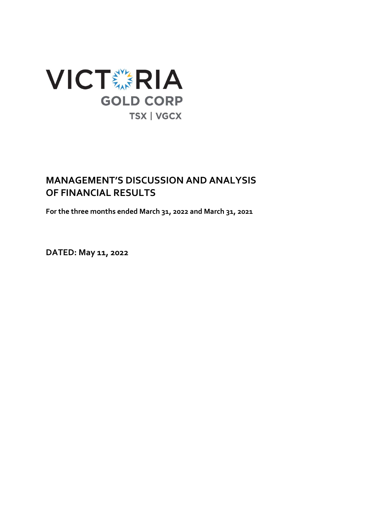

# **MANAGEMENT'S DISCUSSION AND ANALYSIS OF FINANCIAL RESULTS**

**For the three months ended March 31, 2022 and March 31, 2021**

**DATED: May 11, 2022**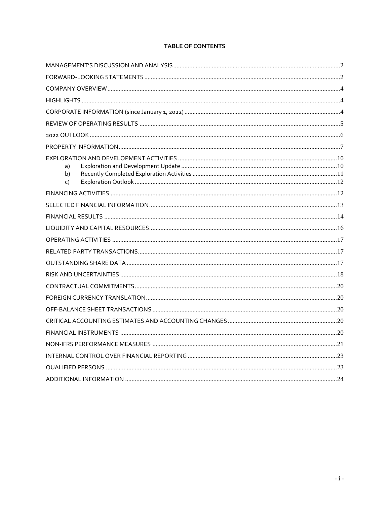# **TABLE OF CONTENTS**

| a)<br>b)<br>C) |  |
|----------------|--|
|                |  |
|                |  |
|                |  |
|                |  |
|                |  |
|                |  |
|                |  |
|                |  |
|                |  |
|                |  |
|                |  |
|                |  |
|                |  |
|                |  |
|                |  |
|                |  |
|                |  |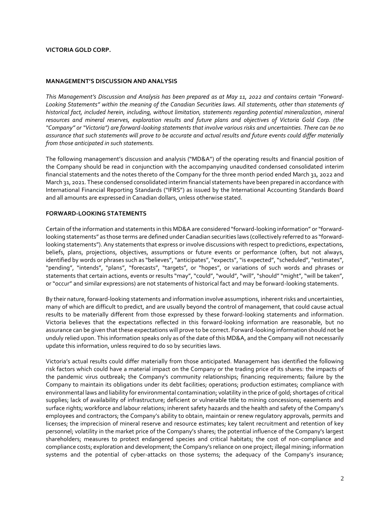#### **VICTORIA GOLD CORP.**

#### <span id="page-2-0"></span>**MANAGEMENT'S DISCUSSION AND ANALYSIS**

*This Management's Discussion and Analysis has been prepared as at May 11, 2022 and contains certain "Forward-Looking Statements" within the meaning of the Canadian Securities laws. All statements, other than statements of historical fact, included herein, including, without limitation, statements regarding potential mineralization, mineral resources and mineral reserves, exploration results and future plans and objectives of Victoria Gold Corp. (the "Company" or "Victoria") are forward-looking statements that involve various risks and uncertainties. There can be no assurance that such statements will prove to be accurate and actual results and future events could differ materially from those anticipated in such statements.*

The following management's discussion and analysis ("MD&A") of the operating results and financial position of the Company should be read in conjunction with the accompanying unaudited condensed consolidated interim financial statements and the notes thereto of the Company for the three month period ended March 31, 2022 and March 31, 2021. These condensed consolidated interim financial statements have been prepared in accordance with International Financial Reporting Standards ("IFRS") as issued by the International Accounting Standards Board and all amounts are expressed in Canadian dollars, unless otherwise stated.

#### <span id="page-2-1"></span>**FORWARD-LOOKING STATEMENTS**

Certain of the information and statements in this MD&A are considered "forward-looking information" or "forwardlooking statements" as those terms are defined under Canadian securities laws (collectively referred to as "forwardlooking statements"). Any statements that express or involve discussions with respect to predictions, expectations, beliefs, plans, projections, objectives, assumptions or future events or performance (often, but not always, identified by words or phrases such as "believes", "anticipates", "expects", "is expected", "scheduled", "estimates", "pending", "intends", "plans", "forecasts", "targets", or "hopes", or variations of such words and phrases or statements that certain actions, events or results "may", "could", "would", "will", "should" "might", "will be taken", or "occur" and similar expressions) are not statements of historical fact and may be forward-looking statements.

By their nature, forward-looking statements and information involve assumptions, inherent risks and uncertainties, many of which are difficult to predict, and are usually beyond the control of management, that could cause actual results to be materially different from those expressed by these forward-looking statements and information. Victoria believes that the expectations reflected in this forward-looking information are reasonable, but no assurance can be given that these expectations will prove to be correct. Forward-looking information should not be unduly relied upon. This information speaks only as of the date of this MD&A, and the Company will not necessarily update this information, unless required to do so by securities laws.

Victoria's actual results could differ materially from those anticipated. Management has identified the following risk factors which could have a material impact on the Company or the trading price of its shares: the impacts of the pandemic virus outbreak; the Company's community relationships; financing requirements; failure by the Company to maintain its obligations under its debt facilities; operations; production estimates; compliance with environmental laws and liability for environmental contamination; volatility in the price of gold; shortages of critical supplies; lack of availability of infrastructure; deficient or vulnerable title to mining concessions; easements and surface rights; workforce and labour relations; inherent safety hazards and the health and safety of the Company's employees and contractors; the Company's ability to obtain, maintain or renew regulatory approvals, permits and licenses; the imprecision of mineral reserve and resource estimates; key talent recruitment and retention of key personnel; volatility in the market price of the Company's shares; the potential influence of the Company's largest shareholders; measures to protect endangered species and critical habitats; the cost of non-compliance and compliance costs; exploration and development; the Company's reliance on one project; illegal mining; information systems and the potential of cyber-attacks on those systems; the adequacy of the Company's insurance;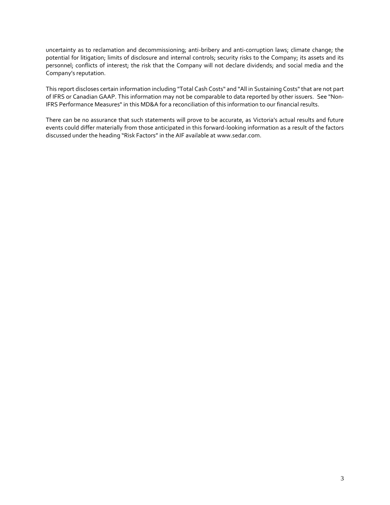uncertainty as to reclamation and decommissioning; anti-bribery and anti-corruption laws; climate change; the potential for litigation; limits of disclosure and internal controls; security risks to the Company; its assets and its personnel; conflicts of interest; the risk that the Company will not declare dividends; and social media and the Company's reputation.

This report discloses certain information including "Total Cash Costs" and "All in Sustaining Costs" that are not part of IFRS or Canadian GAAP. This information may not be comparable to data reported by other issuers. See "Non-IFRS Performance Measures" in this MD&A for a reconciliation of this information to our financial results.

There can be no assurance that such statements will prove to be accurate, as Victoria's actual results and future events could differ materially from those anticipated in this forward-looking information as a result of the factors discussed under the heading "Risk Factors" in the AIF available at www.sedar.com.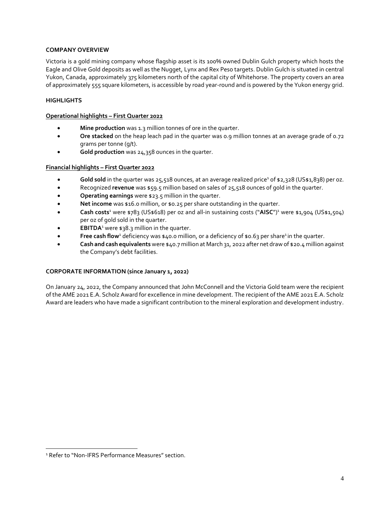# <span id="page-4-0"></span>**COMPANY OVERVIEW**

Victoria is a gold mining company whose flagship asset is its 100% owned Dublin Gulch property which hosts the Eagle and Olive Gold deposits as well as the Nugget, Lynx and Rex Peso targets. Dublin Gulch is situated in central Yukon, Canada, approximately 375 kilometers north of the capital city of Whitehorse. The property covers an area of approximately 555 square kilometers, is accessible by road year-round and is powered by the Yukon energy grid.

# <span id="page-4-1"></span>**HIGHLIGHTS**

#### **Operational highlights – First Quarter 2022**

- **Mine production** was 1.3 million tonnes of ore in the quarter.
- **Ore stacked** on the heap leach pad in the quarter was 0.9 million tonnes at an average grade of 0.72 grams per tonne (g/t).
- **Gold production** was 24,358 ounces in the quarter.

# **Financial highlights – First Quarter 2022**

- Gold sold in the quarter was 25,518 ounces, at an average realized price<sup>1</sup> of \$2,328 (US\$1,838) per oz.
- Recognized **revenue** was \$59.5 million based on sales of 25,518 ounces of gold in the quarter.
- **Operating earnings** were \$23.5 million in the quarter.
- **Net income** was \$16.0 million, or \$0.25 per share outstanding in the quarter.
- **•** Cash costs<sup>1</sup> were \$783 (US\$618) per oz and all-in sustaining costs ("AISC")<sup>1</sup> were \$1,904 (US\$1,504) per oz of gold sold in the quarter.
- **EBITDA**<sup>1</sup> were \$38.3 million in the quarter.
- Free cash flow<sup>1</sup> deficiency was \$40.0 million, or a deficiency of \$0.63 per share<sup>1</sup> in the quarter.
- **Cash and cash equivalents** were \$40.7 million at March 31, 2022 after net draw of \$20.4 million against the Company's debt facilities.

#### <span id="page-4-2"></span>**CORPORATE INFORMATION (since January 1, 2022)**

On January 24, 2022, the Company announced that John McConnell and the Victoria Gold team were the recipient of the AME 2021 E.A. Scholz Award for excellence in mine development. The recipient of the AME 2021 E.A. Scholz Award are leaders who have made a significant contribution to the mineral exploration and development industry.

<sup>&</sup>lt;sup>1</sup> Refer to "Non-IFRS Performance Measures" section.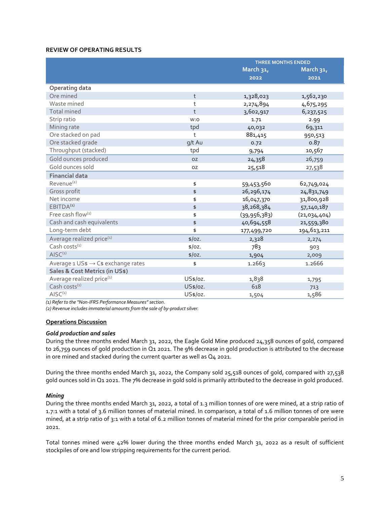# <span id="page-5-0"></span>**REVIEW OF OPERATING RESULTS**

|                                       |              | <b>THREE MONTHS ENDED</b> |              |  |  |  |
|---------------------------------------|--------------|---------------------------|--------------|--|--|--|
|                                       |              | March 31,                 | March 31,    |  |  |  |
|                                       |              | 2022                      | 2021         |  |  |  |
| <b>Operating data</b>                 |              |                           |              |  |  |  |
| Ore mined                             | t            | 1,328,023                 | 1,562,230    |  |  |  |
| Waste mined                           | t            | 2,274,894                 | 4,675,295    |  |  |  |
| <b>Total mined</b>                    | $\mathsf{t}$ | 3,602,917                 | 6,237,525    |  |  |  |
| Strip ratio                           | W:O          | 1.71                      | 2.99         |  |  |  |
| Mining rate                           | tpd          | 40,032                    | 69,311       |  |  |  |
| Ore stacked on pad                    | t            | 881,415                   | 950,513      |  |  |  |
| Ore stacked grade                     | g/t Au       | 0.72                      | 0.87         |  |  |  |
| Throughput (stacked)                  | tpd          | 9,794                     | 10,567       |  |  |  |
| Gold ounces produced                  | <b>OZ</b>    | 24,358                    | 26,759       |  |  |  |
| Gold ounces sold                      | <b>OZ</b>    | 25,518                    | 27,538       |  |  |  |
| <b>Financial data</b>                 |              |                           |              |  |  |  |
| Revenue <sup>(2)</sup>                | \$           | 59,453,560                | 62,749,024   |  |  |  |
| Gross profit                          | \$           | 26,296,174                | 24,831,749   |  |  |  |
| Net income                            | \$           | 16,047,370                | 31,800,928   |  |  |  |
| EBITDA <sup>(1)</sup>                 | \$           | 38,268,384                | 57,140,187   |  |  |  |
| Free cash flow(1)                     | \$           | (39, 956, 383)            | (21,034,404) |  |  |  |
| Cash and cash equivalents             | \$           | 40,694,558                | 21,559,380   |  |  |  |
| Long-term debt                        | \$           | 177,499,720               | 194,613,211  |  |  |  |
| Average realized price <sup>(1)</sup> | \$/oz.       | 2,328                     | 2,274        |  |  |  |
| Cash costs $^{(1)}$                   | \$/oz.       | 783                       | 903          |  |  |  |
| AISC <sup>(1)</sup>                   | \$/oz.       | 1,904                     | 2,009        |  |  |  |
| Average 1 US\$ → C\$ exchange rates   | \$           | 1.2663                    | 1.2666       |  |  |  |
| Sales & Cost Metrics (in US\$)        |              |                           |              |  |  |  |
| Average realized price <sup>(1)</sup> | US\$/oz.     | 1,838                     | 1,795        |  |  |  |
| Cash costs <sup>(1)</sup>             | US\$/oz.     | 618                       | 713          |  |  |  |
| AISC <sup>(1)</sup>                   | US\$/oz.     | 1,504                     | 1,586        |  |  |  |

*(1) Refer to the "Non-IFRS Performance Measures" section.*

*(2) Revenue includes immaterial amounts from the sale of by-product silver.*

#### **Operations Discussion**

#### *Gold production and sales*

During the three months ended March 31, 2022, the Eagle Gold Mine produced 24,358 ounces of gold, compared to 26,759 ounces of gold production in Q1 2021. The 9% decrease in gold production is attributed to the decrease in ore mined and stacked during the current quarter as well as Q4 2021.

During the three months ended March 31, 2022, the Company sold 25,518 ounces of gold, compared with 27,538 gold ounces sold in Q1 2021. The 7% decrease in gold sold is primarily attributed to the decrease in gold produced.

#### *Mining*

During the three months ended March 31, 2022, a total of 1.3 million tonnes of ore were mined, at a strip ratio of 1.7:1 with a total of 3.6 million tonnes of material mined. In comparison, a total of 1.6 million tonnes of ore were mined, at a strip ratio of 3:1 with a total of 6.2 million tonnes of material mined for the prior comparable period in 2021.

Total tonnes mined were 42% lower during the three months ended March 31, 2022 as a result of sufficient stockpiles of ore and low stripping requirements for the current period.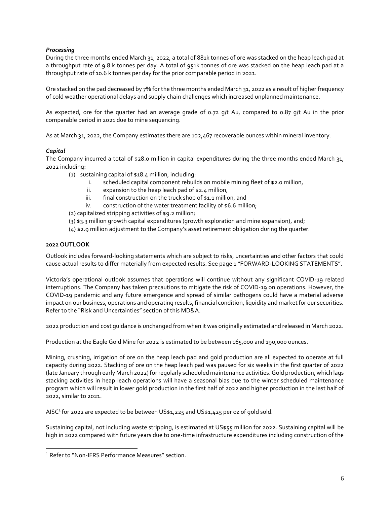# *Processing*

During the three months ended March 31, 2022, a total of 881k tonnes of ore was stacked on the heap leach pad at a throughput rate of 9.8 k tonnes per day. A total of 951k tonnes of ore was stacked on the heap leach pad at a throughput rate of 10.6 k tonnes per day for the prior comparable period in 2021.

Ore stacked on the pad decreased by 7% for the three months ended March 31, 2022 as a result of higher frequency of cold weather operational delays and supply chain challenges which increased unplanned maintenance.

As expected, ore for the quarter had an average grade of 0.72 g/t Au, compared to 0.87 g/t Au in the prior comparable period in 2021 due to mine sequencing.

As at March 31, 2022, the Company estimates there are 102,467 recoverable ounces within mineral inventory.

# *Capital*

The Company incurred a total of \$28.0 million in capital expenditures during the three months ended March 31, 2022 including:

- (1) sustaining capital of \$18.4 million, including:
	- i. scheduled capital component rebuilds on mobile mining fleet of \$2.0 million,
	- ii. expansion to the heap leach pad of \$2.4 million,
	- iii. final construction on the truck shop of \$1.1 million, and
	- iv. construction of the water treatment facility of \$6.6 million;

(2) capitalized stripping activities of \$9.2 million;

- (3) \$3.3 million growth capital expenditures (growth exploration and mine expansion), and;
- (4) \$2.9 million adjustment to the Company's asset retirement obligation during the quarter.

# <span id="page-6-0"></span>**2022 OUTLOOK**

Outlook includes forward-looking statements which are subject to risks, uncertainties and other factors that could cause actual results to differ materially from expected results. See page 1 "FORWARD-LOOKING STATEMENTS".

Victoria's operational outlook assumes that operations will continue without any significant COVID-19 related interruptions. The Company has taken precautions to mitigate the risk of COVID-19 on operations. However, the COVID-19 pandemic and any future emergence and spread of similar pathogens could have a material adverse impact on our business, operations and operating results, financial condition, liquidity and market for our securities. Refer to the "Risk and Uncertainties" section of this MD&A.

2022 production and cost guidance is unchanged from when it was originally estimated and released in March 2022.

Production at the Eagle Gold Mine for 2022 is estimated to be between 165,000 and 190,000 ounces.

Mining, crushing, irrigation of ore on the heap leach pad and gold production are all expected to operate at full capacity during 2022. Stacking of ore on the heap leach pad was paused for six weeks in the first quarter of 2022 (late January through early March 2022) for regularly scheduled maintenance activities. Gold production, which lags stacking activities in heap leach operations will have a seasonal bias due to the winter scheduled maintenance program which will result in lower gold production in the first half of 2022 and higher production in the last half of 2022, similar to 2021.

<span id="page-6-1"></span>AISC<sup>1</sup> for 2022 are expected to be between US\$1,225 and US\$1,425 per oz of gold sold.

Sustaining capital, not including waste stripping, is estimated at US\$55 million for 2022. Sustaining capital will be high in 2022 compared with future years due to one-time infrastructure expenditures including construction of the

<sup>&</sup>lt;sup>1</sup> Refer to "Non-IFRS Performance Measures" section.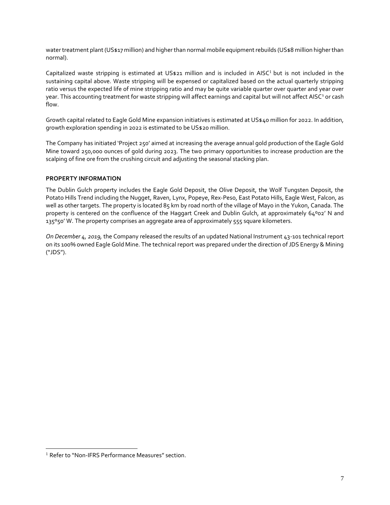water treatment plant (US\$17 million) and higher than normal mobile equipment rebuilds (US\$8 million higher than normal).

Capitalized waste stripping is estimated at US\$2[1](#page-6-1) million and is included in AISC<sup>1</sup> but is not included in the sustaining capital above. Waste stripping will be expensed or capitalized based on the actual quarterly stripping ratio versus the expected life of mine stripping ratio and may be quite variable quarter over quarter and year over year. This accounting treatment for waste stripping will affect earnings and capital but will not affect AISC<sup>1</sup> or cash flow.

Growth capital related to Eagle Gold Mine expansion initiatives is estimated at US\$40 million for 2022. In addition, growth exploration spending in 2022 is estimated to be US\$20 million.

The Company has initiated 'Project 250' aimed at increasing the average annual gold production of the Eagle Gold Mine toward 250,000 ounces of gold during 2023. The two primary opportunities to increase production are the scalping of fine ore from the crushing circuit and adjusting the seasonal stacking plan.

# <span id="page-7-0"></span>**PROPERTY INFORMATION**

The Dublin Gulch property includes the Eagle Gold Deposit, the Olive Deposit, the Wolf Tungsten Deposit, the Potato Hills Trend including the Nugget, Raven, Lynx, Popeye, Rex-Peso, East Potato Hills, Eagle West, Falcon, as well as other targets. The property is located 85 km by road north of the village of Mayo in the Yukon, Canada. The property is centered on the confluence of the Haggart Creek and Dublin Gulch, at approximately 64°02' N and 135°50' W. The property comprises an aggregate area of approximately 555 square kilometers.

*On December 4, 2019,* the Company released the results of an updated National Instrument 43-101 technical report on its 100% owned Eagle Gold Mine. The technical report was prepared under the direction of JDS Energy & Mining ("JDS").

<sup>&</sup>lt;sup>1</sup> Refer to "Non-IFRS Performance Measures" section.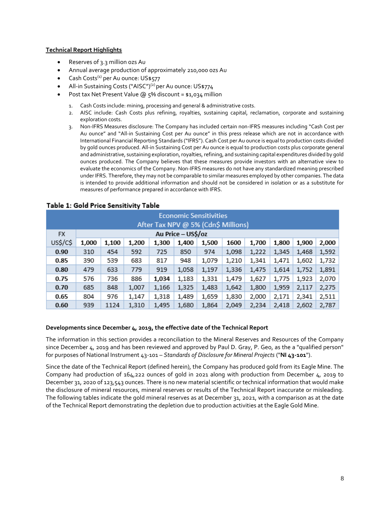#### **Technical Report Highlights**

- Reserves of 3.3 million ozs Au
- Annual average production of approximately 210,000 ozs Au
- Cash Costs<sup>(1)</sup> per Au ounce: US\$577
- All-in Sustaining Costs ("AISC")<sup>(2)</sup> per Au ounce: US\$774
- Post tax Net Present Value @ 5% discount = \$1,034 million
	- 1. Cash Costs include: mining, processing and general & administrative costs.
	- 2. AISC include: Cash Costs plus refining, royalties, sustaining capital, reclamation, corporate and sustaining exploration costs.
	- 3. Non-IFRS Measures disclosure: The Company has included certain non-IFRS measures including "Cash Cost per Au ounce" and "All-in Sustaining Cost per Au ounce" in this press release which are not in accordance with International Financial Reporting Standards ("IFRS"). Cash Cost per Au ounce is equal to production costs divided by gold ounces produced. All-in Sustaining Cost per Au ounce is equal to production costs plus corporate general and administrative, sustaining exploration, royalties, refining, and sustaining capital expenditures divided by gold ounces produced. The Company believes that these measures provide investors with an alternative view to evaluate the economics of the Company. Non-IFRS measures do not have any standardized meaning prescribed under IFRS. Therefore, they may not be comparable to similar measures employed by other companies. The data is intended to provide additional information and should not be considered in isolation or as a substitute for measures of performance prepared in accordance with IFRS.

| <b>Economic Sensitivities</b><br>After Tax NPV @ 5% (Cdn\$ Millions) |                    |       |       |       |       |       |       |       |       |       |       |
|----------------------------------------------------------------------|--------------------|-------|-------|-------|-------|-------|-------|-------|-------|-------|-------|
| <b>FX</b>                                                            | Au Price - US\$/oz |       |       |       |       |       |       |       |       |       |       |
| US\$/C\$                                                             | 1,000              | 1,100 | 1,200 | 1,300 | 1,400 | 1,500 | 1600  | 1,700 | 1,800 | 1,900 | 2,000 |
| 0.90                                                                 | 310                | 454   | 592   | 725   | 850   | 974   | 1,098 | 1,222 | 1,345 | 1,468 | 1,592 |
| 0.85                                                                 | 390                | 539   | 683   | 817   | 948   | 1,079 | 1,210 | 1,341 | 1,471 | 1,602 | 1,732 |
| 0.80                                                                 | 479                | 633   | 779   | 919   | 1,058 | 1,197 | 1,336 | 1,475 | 1,614 | 1,752 | 1,891 |
| 0.75                                                                 | 576                | 736   | 886   | 1,034 | 1,183 | 1,331 | 1,479 | 1,627 | 1,775 | 1,923 | 2,070 |
| 0.70                                                                 | 685                | 848   | 1,007 | 1,166 | 1,325 | 1,483 | 1,642 | 1,800 | 1,959 | 2,117 | 2,275 |
| 0.65                                                                 | 804                | 976   | 1,147 | 1,318 | 1,489 | 1,659 | 1,830 | 2,000 | 2,171 | 2,341 | 2,511 |
| 0.60                                                                 | 939                | 1124  | 1,310 | 1,495 | 1,680 | 1,864 | 2,049 | 2,234 | 2,418 | 2,602 | 2,787 |

# Table 1: Gold Price Sensitivity Table

#### **Developments since December 4, 2019, the effective date of the Technical Report**

The information in this section provides a reconciliation to the Mineral Reserves and Resources of the Company since December 4, 2019 and has been reviewed and approved by Paul D. Gray, P. Geo, as the a "qualified person" for purposes of National Instrument 43-101 – *Standards of Disclosure for Mineral Projects* ("**NI 43-101**").

Since the date of the Technical Report (defined herein), the Company has produced gold from its Eagle Mine. The Company had production of 164,222 ounces of gold in 2021 along with production from December 4, 2019 to December 31, 2020 of 123,543 ounces. There is no new material scientific or technical information that would make the disclosure of mineral resources, mineral reserves or results of the Technical Report inaccurate or misleading. The following tables indicate the gold mineral reserves as at December 31, 2021, with a comparison as at the date of the Technical Report demonstrating the depletion due to production activities at the Eagle Gold Mine.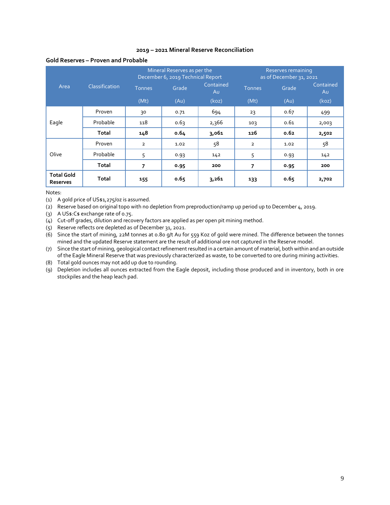#### **2019 – 2021 Mineral Reserve Reconciliation**

#### **Gold Reserves – Proven and Probable**

|                                      |                       |                | Mineral Reserves as per the<br>December 6, 2019 Technical Report |                 | Reserves remaining<br>as of December 31, 2021 |       |                 |  |
|--------------------------------------|-----------------------|----------------|------------------------------------------------------------------|-----------------|-----------------------------------------------|-------|-----------------|--|
| Area                                 | <b>Classification</b> | <b>Tonnes</b>  | Grade                                                            | Contained<br>Au | <b>Tonnes</b>                                 | Grade | Contained<br>Au |  |
|                                      |                       | (Mt)           | (Au)                                                             | (koz)           | (Mt)                                          | (Au)  | (koz)           |  |
|                                      | Proven                | 30             | 0.71                                                             | 694             | 23                                            | 0.67  | 499             |  |
| Eagle                                | Probable              | 118            | 0.63                                                             | 2,366           | 103                                           | 0.61  | 2,003           |  |
|                                      | <b>Total</b>          | 148            | 0.64                                                             | 3,061           | 126                                           | 0.62  | 2,502           |  |
|                                      | Proven                | $\overline{2}$ | 1.02                                                             | 58              | $\overline{2}$                                | 1.02  | 58              |  |
| Olive                                | Probable              | 5              | 0.93                                                             | 142             | 5                                             | 0.93  | 142             |  |
|                                      | Total                 | 7              | 0.95                                                             | 200             | 7                                             | 0.95  | 200             |  |
| <b>Total Gold</b><br><b>Reserves</b> | <b>Total</b>          | 155            | 0.65                                                             | 3,261           | 133                                           | 0.65  | 2,702           |  |

Notes:

(1) A gold price of US\$1,275/oz is assumed.

(2) Reserve based on original topo with no depletion from preproduction/ramp up period up to December 4, 2019.

(3) A US\$:C\$ exchange rate of 0.75.

(4) Cut-off grades, dilution and recovery factors are applied as per open pit mining method.

(5) Reserve reflects ore depleted as of December 31, 2021.

(6) Since the start of mining, 22M tonnes at 0.80 g/t Au for 559 Koz of gold were mined. The difference between the tonnes mined and the updated Reserve statement are the result of additional ore not captured in the Reserve model.

(7) Since the start of mining, geological contact refinement resulted in a certain amount of material, both within and an outside of the Eagle Mineral Reserve that was previously characterized as waste, to be converted to ore during mining activities.

(8) Total gold ounces may not add up due to rounding.

(9) Depletion includes all ounces extracted from the Eagle deposit, including those produced and in inventory, both in ore stockpiles and the heap leach pad.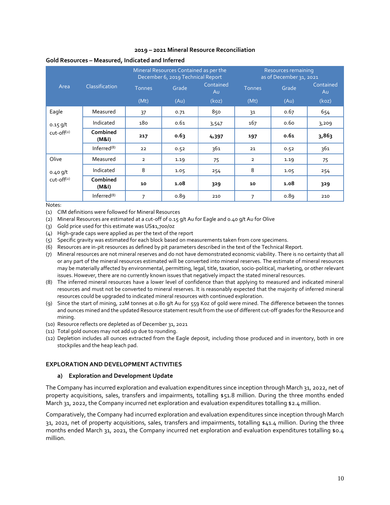#### **2019 – 2021 Mineral Resource Reconciliation**

|              |                   |                | Mineral Resources Contained as per the<br>December 6, 2019 Technical Report |                 | Resources remaining<br>as of December 31, 2021 |       |                 |  |
|--------------|-------------------|----------------|-----------------------------------------------------------------------------|-----------------|------------------------------------------------|-------|-----------------|--|
| Area         | Classification    | <b>Tonnes</b>  | Grade                                                                       | Contained<br>Au | <b>Tonnes</b>                                  | Grade | Contained<br>Au |  |
|              |                   | (Mt)           | (AU)                                                                        | (koz)           | (Mt)                                           | (AU)  | (koz)           |  |
| Eagle        | Measured          | 37             | 0.71                                                                        | 850             | 31                                             | 0.67  | 654             |  |
| $0.15$ g/t   | Indicated         | 180            | 0.61                                                                        | 3,547           | 167                                            | 0.60  | 3,209           |  |
| $cut-off(2)$ | Combined<br>(M&l) | 217            | 0.63                                                                        | 4,397           | 197                                            | 0.61  | 3,863           |  |
|              | Inferred $(8)$    | 22             | 0.52                                                                        | 361             | 21                                             | 0.52  | 361             |  |
| Olive        | Measured          | $\overline{2}$ | 1.19                                                                        | 75              | $\overline{2}$                                 | 1.19  | 75              |  |
| $0.40$ g/t   | Indicated         | 8              | 1.05                                                                        | 254             | 8                                              | 1.05  | 254             |  |
| $cut-off(2)$ | Combined<br>(M&l) | 10             | 1.08                                                                        | 329             | 10                                             | 1.08  | 329             |  |
|              | Inferred $(8)$    | 7              | 0.89                                                                        | 210             | 7                                              | 0.89  | 210             |  |

#### **Gold Resources – Measured, Indicated and Inferred**

Notes:

(1) CIM definitions were followed for Mineral Resources

(2) Mineral Resources are estimated at a cut-off of 0.15 g/t Au for Eagle and 0.40 g/t Au for Olive

- (3) Gold price used for this estimate was US\$1,700/oz
- (4) High-grade caps were applied as per the text of the report
- (5) Specific gravity was estimated for each block based on measurements taken from core specimens.
- (6) Resources are in-pit resources as defined by pit parameters described in the text of the Technical Report.
- (7) Mineral resources are not mineral reserves and do not have demonstrated economic viability. There is no certainty that all or any part of the mineral resources estimated will be converted into mineral reserves. The estimate of mineral resources may be materially affected by environmental, permitting, legal, title, taxation, socio-political, marketing, or other relevant issues. However, there are no currently known issues that negatively impact the stated mineral resources.
- (8) The inferred mineral resources have a lower level of confidence than that applying to measured and indicated mineral resources and must not be converted to mineral reserves. It is reasonably expected that the majority of inferred mineral resources could be upgraded to indicated mineral resources with continued exploration.
- (9) Since the start of mining, 22M tonnes at 0.80 g/t Au for 559 Koz of gold were mined. The difference between the tonnes and ounces mined and the updated Resource statement result from the use of different cut-off grades for the Resource and mining.
- (10) Resource reflects ore depleted as of December 31, 2021
- (11) Total gold ounces may not add up due to rounding.
- (12) Depletion includes all ounces extracted from the Eagle deposit, including those produced and in inventory, both in ore stockpiles and the heap leach pad.

#### <span id="page-10-1"></span><span id="page-10-0"></span>**EXPLORATION AND DEVELOPMENT ACTIVITIES**

#### **a) Exploration and Development Update**

The Company has incurred exploration and evaluation expenditures since inception through March 31, 2022, net of property acquisitions, sales, transfers and impairments, totalling \$51.8 million. During the three months ended March 31, 2022, the Company incurred net exploration and evaluation expenditures totalling \$2.4 million.

Comparatively, the Company had incurred exploration and evaluation expenditures since inception through March 31, 2021, net of property acquisitions, sales, transfers and impairments, totalling \$41.4 million. During the three months ended March 31, 2021, the Company incurred net exploration and evaluation expenditures totalling \$0.4 million.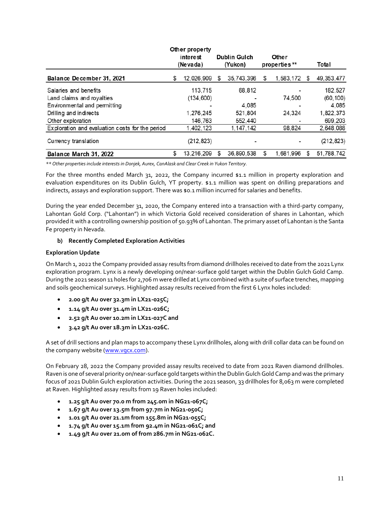|                                                 | Other property   |   |                     |                    |   |              |
|-------------------------------------------------|------------------|---|---------------------|--------------------|---|--------------|
|                                                 | interest         |   | <b>Dublin Gulch</b> | Other              |   |              |
|                                                 | (Nevada)         |   | (Yukon)             | properties**       |   | Total        |
| Balance December 31, 2021                       | \$<br>12,026,909 | S | 35,743,396          | \$<br>1,583,172 \$ |   | 49, 353, 477 |
| Salaries and benefits                           | 113.715          |   | 68,812              |                    |   | 182,527      |
| Land claims and royalties                       | (134, 600)       |   |                     | 74,500             |   | (60, 100)    |
| Environmental and permitting                    |                  |   | 4.085               |                    |   | 4.085        |
| Drilling and indirects                          | 1.276.245        |   | 521,804             | 24,324             |   | 1,822,373    |
| Other exploration                               | 146,763          |   | 552,440             |                    |   | 699,203      |
| Exploration and evaluation costs for the period | 1,402,123        |   | 1.147.142           | 98,824             |   | 2,648,088    |
| Currency translation                            | (212, 823)       |   |                     |                    |   | (212, 823)   |
| Balance March 31, 2022                          | \$<br>13,216,209 | S | 36.890.538          | \$<br>1,681,996    | S | 51,788,742   |

*\*\* Other properties include interests in Donjek, Aurex, CanAlask and Clear Creek in Yukon Territory.*

For the three months ended March 31, 2022, the Company incurred \$1.1 million in property exploration and evaluation expenditures on its Dublin Gulch, YT property. \$1.1 million was spent on drilling preparations and indirects, assays and exploration support. There was \$0.1 million incurred for salaries and benefits.

During the year ended December 31, 2020, the Company entered into a transaction with a third-party company, Lahontan Gold Corp. ("Lahontan") in which Victoria Gold received consideration of shares in Lahontan, which provided it with a controlling ownership position of 50.93% of Lahontan. The primary asset of Lahontan is the Santa Fe property in Nevada.

# <span id="page-11-0"></span>**b) Recently Completed Exploration Activities**

#### **Exploration Update**

On March 1, 2022 the Company provided assay results from diamond drillholes received to date from the 2021 Lynx exploration program. Lynx is a newly developing on/near-surface gold target within the Dublin Gulch Gold Camp. During the 2021 season 11 holes for 2,706 m were drilled at Lynx combined with a suite of surface trenches, mapping and soils geochemical surveys. Highlighted assay results received from the first 6 Lynx holes included:

- **2.00 g/t Au over 32.3m in LX21-025C;**
- **1.14 g/t Au over 31.4m in LX21-026C;**
- **2.52 g/t Au over 10.2m in LX21-027C and**
- **3.42 g/t Au over 18.3m in LX21-026C.**

A set of drill sections and plan maps to accompany these Lynx drillholes, along with drill collar data can be found on the company website [\(www.vgcx.com\)](http://www.vgcx.com/).

On February 28, 2022 the Company provided assay results received to date from 2021 Raven diamond drillholes. Raven is one of several priority on/near-surface gold targets within the Dublin Gulch Gold Camp and was the primary focus of 2021 Dublin Gulch exploration activities. During the 2021 season, 33 drillholes for 8,063 m were completed at Raven. Highlighted assay results from 19 Raven holes included:

- **1.25 g/t Au over 70.0 m from 245.0m in NG21-067C;**
- **1.67 g/t Au over 13.5m from 97.7m in NG21-050C;**
- **1.01 g/t Au over 21.1m from 155.8m in NG21-055C;**
- **1.74 g/t Au over 15.1m from 92.4m in NG21-061C; and**
- **1.49 g/t Au over 21.0m of from 286.7m in NG21-062C.**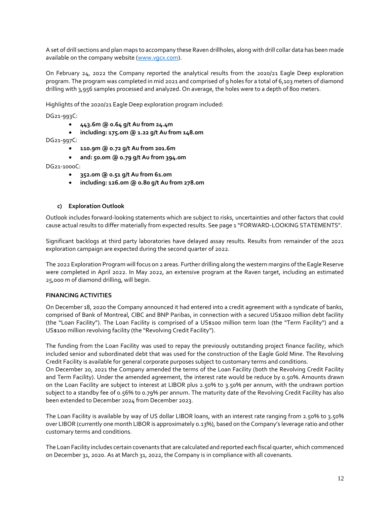A set of drill sections and plan maps to accompany these Raven drillholes, along with drill collar data has been made available on the company website [\(www.vgcx.com\)](http://www.vgcx.com/).

On February 24, 2022 the Company reported the analytical results from the 2020/21 Eagle Deep exploration program. The program was completed in mid 2021 and comprised of 9 holes for a total of 6,103 meters of diamond drilling with 3,956 samples processed and analyzed. On average, the holes were to a depth of 800 meters.

Highlights of the 2020/21 Eagle Deep exploration program included:

DG21-993C:

- **443.6m @ 0.64 g/t Au from 24.4m**
- **including: 175.0m @ 1.22 g/t Au from 148.0m**
- DG21-997C:
	- **110.9m @ 0.72 g/t Au from 201.6m**
	- **and: 50.0m @ 0.79 g/t Au from 394.0m**

#### DG21-1000C:

- **352.0m @ 0.51 g/t Au from 61.0m**
- **including: 126.0m @ 0.80 g/t Au from 278.0m**

#### **c) Exploration Outlook**

<span id="page-12-0"></span>Outlook includes forward-looking statements which are subject to risks, uncertainties and other factors that could cause actual results to differ materially from expected results. See page 1 "FORWARD-LOOKING STATEMENTS".

Significant backlogs at third party laboratories have delayed assay results. Results from remainder of the 2021 exploration campaign are expected during the second quarter of 2022.

The 2022 Exploration Program will focus on 2 areas. Further drilling along the western margins of the Eagle Reserve were completed in April 2022. In May 2022, an extensive program at the Raven target, including an estimated 25,000 m of diamond drilling, will begin.

# <span id="page-12-1"></span>**FINANCING ACTIVITIES**

On December 18, 2020 the Company announced it had entered into a credit agreement with a syndicate of banks, comprised of Bank of Montreal, CIBC and BNP Paribas, in connection with a secured US\$200 million debt facility (the "Loan Facility"). The Loan Facility is comprised of a US\$100 million term loan (the "Term Facility") and a US\$100 million revolving facility (the "Revolving Credit Facility").

The funding from the Loan Facility was used to repay the previously outstanding project finance facility, which included senior and subordinated debt that was used for the construction of the Eagle Gold Mine. The Revolving Credit Facility is available for general corporate purposes subject to customary terms and conditions.

On December 20, 2021 the Company amended the terms of the Loan Facility (both the Revolving Credit Facility and Term Facility). Under the amended agreement, the interest rate would be reduce by 0.50%. Amounts drawn on the Loan Facility are subject to interest at LIBOR plus 2.50% to 3.50% per annum, with the undrawn portion subject to a standby fee of 0.56% to 0.79% per annum. The maturity date of the Revolving Credit Facility has also been extended to December 2024 from December 2023.

The Loan Facility is available by way of US dollar LIBOR loans, with an interest rate ranging from 2.50% to 3.50% over LIBOR (currently one month LIBOR is approximately 0.13%), based on the Company's leverage ratio and other customary terms and conditions.

The Loan Facility includes certain covenants that are calculated and reported each fiscal quarter, which commenced on December 31, 2020. As at March 31, 2022, the Company is in compliance with all covenants.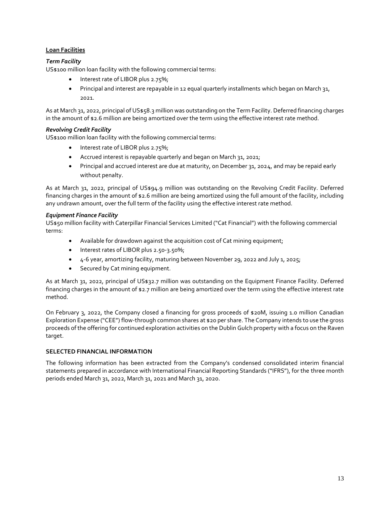# **Loan Facilities**

# *Term Facility*

US\$100 million loan facility with the following commercial terms:

- Interest rate of LIBOR plus 2.75%;
- Principal and interest are repayable in 12 equal quarterly installments which began on March 31, 2021.

As at March 31, 2022, principal of US\$58.3 million was outstanding on the Term Facility. Deferred financing charges in the amount of \$2.6 million are being amortized over the term using the effective interest rate method.

# *Revolving Credit Facility*

US\$100 million loan facility with the following commercial terms:

- Interest rate of LIBOR plus 2.75%;
- Accrued interest is repayable quarterly and began on March 31, 2021;
- Principal and accrued interest are due at maturity, on December 31, 2024, and may be repaid early without penalty.

As at March 31, 2022, principal of US\$94.9 million was outstanding on the Revolving Credit Facility. Deferred financing charges in the amount of \$2.6 million are being amortized using the full amount of the facility, including any undrawn amount, over the full term of the facility using the effective interest rate method.

# *Equipment Finance Facility*

US\$50 million facility with Caterpillar Financial Services Limited ("Cat Financial") with the following commercial terms:

- Available for drawdown against the acquisition cost of Cat mining equipment;
- Interest rates of LIBOR plus 2.50-3.50%;
- 4-6 year, amortizing facility, maturing between November 29, 2022 and July 1, 2025;
- Secured by Cat mining equipment.

As at March 31, 2022, principal of US\$32.7 million was outstanding on the Equipment Finance Facility. Deferred financing charges in the amount of \$2.7 million are being amortized over the term using the effective interest rate method.

On February 3, 2022, the Company closed a financing for gross proceeds of \$20M, issuing 1.0 million Canadian Exploration Expense ("CEE") flow-through common shares at \$20 per share. The Company intends to use the gross proceeds of the offering for continued exploration activities on the Dublin Gulch property with a focus on the Raven target.

# <span id="page-13-0"></span>**SELECTED FINANCIAL INFORMATION**

The following information has been extracted from the Company's condensed consolidated interim financial statements prepared in accordance with International Financial Reporting Standards ("IFRS"), for the three month periods ended March 31, 2022, March 31, 2021 and March 31, 2020.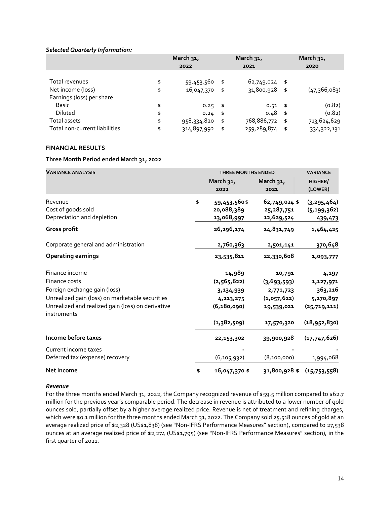#### *Selected Quarterly Information:*

|                               | March 31,         |      | March 31,     | March 31, |              |  |
|-------------------------------|-------------------|------|---------------|-----------|--------------|--|
|                               | 2022              |      | 2021          |           | 2020         |  |
|                               |                   |      |               |           |              |  |
| Total revenues                | \$<br>59,453,560  | \$   | 62,749,024 \$ |           |              |  |
| Net income (loss)             | \$<br>16,047,370  | - \$ | 31,800,928 \$ |           | (47,366,083) |  |
| Earnings (loss) per share     |                   |      |               |           |              |  |
| <b>Basic</b>                  | \$<br>$0.25 - $$  |      | $0.51$ \$     |           | (0.82)       |  |
| Diluted                       | \$<br>$0.24$ \$   |      | $0.48$ \$     |           | (0.82)       |  |
| Total assets                  | \$<br>958,334,820 | \$   | 768,886,772   | - \$      | 713,624,629  |  |
| Total non-current liabilities | \$<br>314,897,992 | \$   | 259,289,874   | \$        | 334,322,131  |  |

# <span id="page-14-0"></span>**FINANCIAL RESULTS**

# **Three Month Period ended March 31, 2022**

| <b>VARIANCE ANALYSIS</b>                                         | <b>THREE MONTHS ENDED</b>                      | <b>VARIANCE</b>                             |                                           |
|------------------------------------------------------------------|------------------------------------------------|---------------------------------------------|-------------------------------------------|
|                                                                  | March 31,<br>2022                              | March 31,<br>2021                           | HIGHER/<br>(LOWER)                        |
| Revenue<br>Cost of goods sold<br>Depreciation and depletion      | \$<br>59,453,560\$<br>20,088,389<br>13,068,997 | 62,749,024 \$<br>25, 287, 751<br>12,629,524 | (3, 295, 464)<br>(5, 199, 362)<br>439,473 |
| Gross profit                                                     | 26,296,174                                     | 24,831,749                                  | 1,464,425                                 |
| Corporate general and administration                             | 2,760,363                                      | 2,501,141                                   | 370,648                                   |
| <b>Operating earnings</b>                                        | 23,535,811                                     | 22,330,608                                  | 1,093,777                                 |
| Finance income                                                   | 14,989                                         | 10,791                                      | 4,197                                     |
| Finance costs                                                    | (2, 565, 622)                                  | (3,693,593)                                 | 1,127,971                                 |
| Foreign exchange gain (loss)                                     | 3,134,939                                      | 2,771,723                                   | 363,216                                   |
| Unrealized gain (loss) on marketable securities                  | 4,213,275                                      | (1,057,622)                                 | 5,270,897                                 |
| Unrealized and realized gain (loss) on derivative<br>instruments | (6, 180, 090)                                  | 19,539,021                                  | (25,719,111)                              |
|                                                                  | (1,382,509)                                    | 17,570,320                                  | (18,952,830)                              |
| Income before taxes                                              | 22,153,302                                     | 39,900,928                                  | (17,747,626)                              |
| Current income taxes                                             |                                                |                                             |                                           |
| Deferred tax (expense) recovery                                  | (6, 105, 932)                                  | (8,100,000)                                 | 1,994,068                                 |
| Net income                                                       | \$<br>16,047,370 \$                            | 31,800,928\$                                | (15,753,558)                              |

#### *Revenue*

For the three months ended March 31, 2022, the Company recognized revenue of \$59.5 million compared to \$62.7 million for the previous year's comparable period. The decrease in revenue is attributed to a lower number of gold ounces sold, partially offset by a higher average realized price. Revenue is net of treatment and refining charges, which were \$0.1 million for the three months ended March 31, 2022. The Company sold 25,518 ounces of gold at an average realized price of \$2,328 (US\$1,838) (see "Non-IFRS Performance Measures" section), compared to 27,538 ounces at an average realized price of \$2,274 (US\$1,795) (see "Non-IFRS Performance Measures" section), in the first quarter of 2021.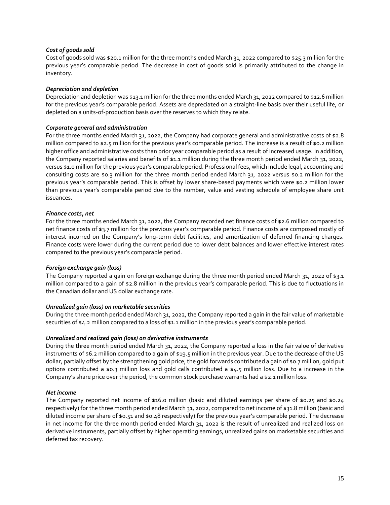#### *Cost of goods sold*

Cost of goods sold was \$20.1 million for the three months ended March 31, 2022 compared to \$25.3 million for the previous year's comparable period. The decrease in cost of goods sold is primarily attributed to the change in inventory.

#### *Depreciation and depletion*

Depreciation and depletion was \$13.1 million for the three months ended March 31, 2022 compared to \$12.6 million for the previous year's comparable period. Assets are depreciated on a straight-line basis over their useful life, or depleted on a units-of-production basis over the reserves to which they relate.

#### *Corporate general and administration*

For the three months ended March 31, 2022, the Company had corporate general and administrative costs of \$2.8 million compared to \$2.5 million for the previous year's comparable period. The increase is a result of \$0.2 million higher office and administrative costs than prior year comparable period as a result of increased usage. In addition, the Company reported salaries and benefits of \$1.1 million during the three month period ended March 31, 2022, versus \$1.0 million for the previous year's comparable period. Professional fees, which include legal, accounting and consulting costs are \$0.3 million for the three month period ended March 31, 2022 versus \$0.2 million for the previous year's comparable period. This is offset by lower share-based payments which were \$0.2 million lower than previous year's comparable period due to the number, value and vesting schedule of employee share unit issuances.

#### *Finance costs, net*

For the three months ended March 31, 2022, the Company recorded net finance costs of \$2.6 million compared to net finance costs of \$3.7 million for the previous year's comparable period. Finance costs are composed mostly of interest incurred on the Company's long-term debt facilities, and amortization of deferred financing charges. Finance costs were lower during the current period due to lower debt balances and lower effective interest rates compared to the previous year's comparable period.

#### *Foreign exchange gain (loss)*

The Company reported a gain on foreign exchange during the three month period ended March 31, 2022 of \$3.1 million compared to a gain of \$2.8 million in the previous year's comparable period. This is due to fluctuations in the Canadian dollar and US dollar exchange rate.

#### *Unrealized gain (loss) on marketable securities*

During the three month period ended March 31, 2022, the Company reported a gain in the fair value of marketable securities of \$4.2 million compared to a loss of \$1.1 million in the previous year's comparable period.

#### *Unrealized and realized gain (loss) on derivative instruments*

During the three month period ended March 31, 2022, the Company reported a loss in the fair value of derivative instruments of \$6.2 million compared to a gain of \$19.5 million in the previous year. Due to the decrease of the US dollar, partially offset by the strengthening gold price, the gold forwards contributed a gain of \$0.7 million, gold put options contributed a \$0.3 million loss and gold calls contributed a \$4.5 million loss. Due to a increase in the Company's share price over the period, the common stock purchase warrants had a \$2.1 million loss.

#### *Net income*

The Company reported net income of \$16.0 million (basic and diluted earnings per share of \$0.25 and \$0.24 respectively) for the three month period ended March 31, 2022, compared to net income of \$31.8 million (basic and diluted income per share of \$0.51 and \$0.48 respectively) for the previous year's comparable period. The decrease in net income for the three month period ended March 31, 2022 is the result of unrealized and realized loss on derivative instruments, partially offset by higher operating earnings, unrealized gains on marketable securities and deferred tax recovery.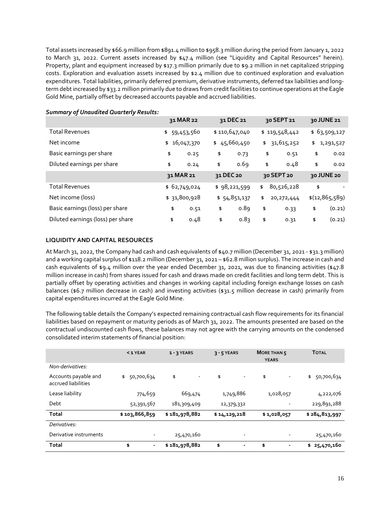Total assets increased by \$66.9 million from \$891.4 million to \$958.3 million during the period from January 1, 2022 to March 31, 2022. Current assets increased by \$47.4 million (see "Liquidity and Capital Resources" herein). Property, plant and equipment increased by \$17.3 million primarily due to \$9.2 million in net capitalized stripping costs. Exploration and evaluation assets increased by \$2.4 million due to continued exploration and evaluation expenditures. Total liabilities, primarily deferred premium, derivative instruments, deferred tax liabilities and longterm debt increased by \$33.2 million primarily due to draws from credit facilities to continue operations at the Eagle Gold Mine, partially offset by decreased accounts payable and accrued liabilities.

|                                   | 31 MAR 22    |           | 31 DEC 21     | 30 SEPT 21         | 30 JUNE 21      |
|-----------------------------------|--------------|-----------|---------------|--------------------|-----------------|
| <b>Total Revenues</b>             | \$59,453,560 |           | \$110,647,040 | \$119,548,442      | \$63,509,127    |
| Net income                        | \$16,047,370 |           | \$45,660,450  | \$<br>31,615,252   | \$<br>1,291,527 |
| Basic earnings per share          | \$<br>0.25   | \$        | 0.73          | \$<br>0.51         | \$<br>0.02      |
| Diluted earnings per share        | \$<br>0.24   | \$        | 0.69          | \$<br>0.48         | \$<br>0.02      |
|                                   | 31 MAR 21    | 31 DEC 20 |               | 30 SEPT 20         | 30 JUNE 20      |
| <b>Total Revenues</b>             | \$62,749,024 |           | \$98,221,599  | \$<br>80,526,228   | \$              |
| Net income (loss)                 | \$31,800,928 |           | \$54,851,137  | \$<br>20, 272, 444 | \$(12,865,589)  |
| Basic earnings (loss) per share   | \$<br>0.51   | \$        | 0.89          | \$<br>0.33         | \$<br>(0.21)    |
| Diluted earnings (loss) per share | \$<br>0.48   | \$        | 0.83          | \$<br>0.31         | \$<br>(0.21)    |

#### *Summary of Unaudited Quarterly Results:*

### <span id="page-16-0"></span>**LIQUIDITY AND CAPITAL RESOURCES**

At March 31, 2022, the Company had cash and cash equivalents of \$40.7 million (December 31, 2021 - \$31.3 million) and a working capital surplus of \$118.2 million (December 31, 2021 – \$62.8 million surplus). The increase in cash and cash equivalents of \$9.4 million over the year ended December 31, 2021, was due to financing activities (\$47.8 million increase in cash) from shares issued for cash and draws made on credit facilities and long term debt. This is partially offset by operating activities and changes in working capital including foreign exchange losses on cash balances (\$6.7 million decrease in cash) and investing activities (\$31.5 million decrease in cash) primarily from capital expenditures incurred at the Eagle Gold Mine.

The following table details the Company's expected remaining contractual cash flow requirements for its financial liabilities based on repayment or maturity periods as of March 31, 2022. The amounts presented are based on the contractual undiscounted cash flows, these balances may not agree with the carrying amounts on the condensed consolidated interim statements of financial position:

|                                             | $<$ 1 YEAR           | $1 - 3$ YEARS                  | $3 - 5$ YEARS                  | <b>MORE THAN 5</b><br><b>YEARS</b> | <b>TOTAL</b>     |
|---------------------------------------------|----------------------|--------------------------------|--------------------------------|------------------------------------|------------------|
| Non-derivatives:                            |                      |                                |                                |                                    |                  |
| Accounts payable and<br>accrued liabilities | 50,700,634<br>\$     | \$<br>$\overline{\phantom{a}}$ | \$<br>$\overline{\phantom{a}}$ | \$                                 | 50,700,634<br>\$ |
| Lease liability                             | 774,659              | 669,474                        | 1,749,886                      | 1,028,057                          | 4,222,076        |
| Debt                                        | 52,391,567           | 181,309,409                    | 12,379,332                     |                                    | 229,891,288      |
| Total                                       | \$103,866,859        | \$181,978,882                  | \$14,129,218                   | \$1,028,057                        | \$284,813,997    |
| Derivatives:                                |                      |                                |                                |                                    |                  |
| Derivative instruments                      |                      | 25,470,160                     |                                |                                    | 25,470,160       |
| <b>Total</b>                                | \$<br>$\blacksquare$ | \$181,978,882                  | \$<br>٠                        | \$                                 | \$25,470,160     |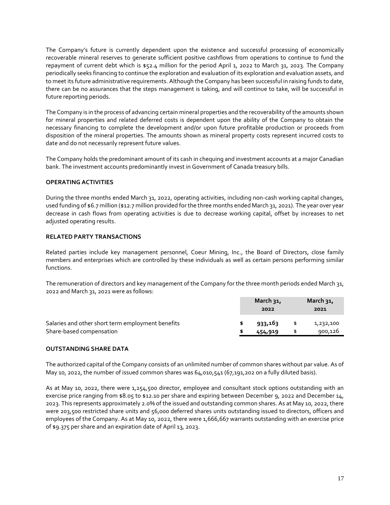The Company's future is currently dependent upon the existence and successful processing of economically recoverable mineral reserves to generate sufficient positive cashflows from operations to continue to fund the repayment of current debt which is \$52.4 million for the period April 1, 2022 to March 31, 2023. The Company periodically seeks financing to continue the exploration and evaluation of its exploration and evaluation assets, and to meet its future administrative requirements. Although the Company has been successful in raising funds to date, there can be no assurances that the steps management is taking, and will continue to take, will be successful in future reporting periods.

The Company is in the process of advancing certain mineral properties and the recoverability of the amounts shown for mineral properties and related deferred costs is dependent upon the ability of the Company to obtain the necessary financing to complete the development and/or upon future profitable production or proceeds from disposition of the mineral properties. The amounts shown as mineral property costs represent incurred costs to date and do not necessarily represent future values.

The Company holds the predominant amount of its cash in chequing and investment accounts at a major Canadian bank. The investment accounts predominantly invest in Government of Canada treasury bills.

# <span id="page-17-0"></span>**OPERATING ACTIVITIES**

During the three months ended March 31, 2022, operating activities, including non-cash working capital changes, used funding of \$6.7 million (\$12.7 million provided for the three months ended March 31, 2021). The year over year decrease in cash flows from operating activities is due to decrease working capital, offset by increases to net adjusted operating results.

#### <span id="page-17-1"></span>**RELATED PARTY TRANSACTIONS**

Related parties include key management personnel, Coeur Mining, Inc., the Board of Directors, close family members and enterprises which are controlled by these individuals as well as certain persons performing similar functions.

The remuneration of directors and key management of the Company for the three month periods ended March 31, 2022 and March 31, 2021 were as follows:

|                                                   | March $31$ ,<br>2022 | March $31$ ,<br>2021 |
|---------------------------------------------------|----------------------|----------------------|
| Salaries and other short term employment benefits | 933,163              | 1,232,100            |
| Share-based compensation                          | 454,919              | 900,126              |

#### <span id="page-17-2"></span>**OUTSTANDING SHARE DATA**

The authorized capital of the Company consists of an unlimited number of common shares without par value. As of May 10, 2022, the number of issued common shares was 64,010,541 (67,191,202 on a fully diluted basis).

As at May 10, 2022, there were 1,254,500 director, employee and consultant stock options outstanding with an exercise price ranging from \$8.05 to \$12.10 per share and expiring between December 9, 2022 and December 14, 2023. This represents approximately 2.0% of the issued and outstanding common shares. As at May 10, 2022, there were 203,500 restricted share units and 56,000 deferred shares units outstanding issued to directors, officers and employees of the Company. As at May 10, 2022, there were 1,666,667 warrants outstanding with an exercise price of \$9.375 per share and an expiration date of April 13, 2023.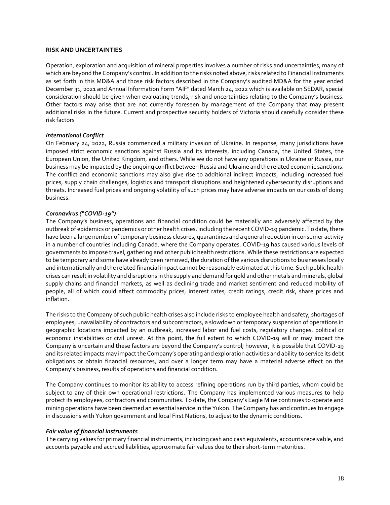#### <span id="page-18-0"></span>**RISK AND UNCERTAINTIES**

Operation, exploration and acquisition of mineral properties involves a number of risks and uncertainties, many of which are beyond the Company's control. In addition to the risks noted above, risks related to Financial Instruments as set forth in this MD&A and those risk factors described in the Company's audited MD&A for the year ended December 31, 2021 and Annual Information Form "AIF" dated March 24, 2022 which is available on SEDAR, special consideration should be given when evaluating trends, risk and uncertainties relating to the Company's business. Other factors may arise that are not currently foreseen by management of the Company that may present additional risks in the future. Current and prospective security holders of Victoria should carefully consider these risk factors

#### *International Conflict*

On February 24, 2022, Russia commenced a military invasion of Ukraine. In response, many jurisdictions have imposed strict economic sanctions against Russia and its interests, including Canada, the United States, the European Union, the United Kingdom, and others. While we do not have any operations in Ukraine or Russia, our business may be impacted by the ongoing conflict between Russia and Ukraine and the related economic sanctions. The conflict and economic sanctions may also give rise to additional indirect impacts, including increased fuel prices, supply chain challenges, logistics and transport disruptions and heightened cybersecurity disruptions and threats. Increased fuel prices and ongoing volatility of such prices may have adverse impacts on our costs of doing business.

# *Coronavirus ("COVID-19")*

The Company's business, operations and financial condition could be materially and adversely affected by the outbreak of epidemics or pandemics or other health crises, including the recent COVID-19 pandemic. To date, there have been a large number of temporary business closures, quarantines and a general reduction in consumer activity in a number of countries including Canada, where the Company operates. COVID-19 has caused various levels of governments to impose travel, gathering and other public health restrictions. While these restrictions are expected to be temporary and some have already been removed, the duration of the various disruptions to businesses locally and internationally and the related financial impact cannot be reasonably estimated at this time. Such public health crises can result in volatility and disruptions in the supply and demand for gold and other metals and minerals, global supply chains and financial markets, as well as declining trade and market sentiment and reduced mobility of people, all of which could affect commodity prices, interest rates, credit ratings, credit risk, share prices and inflation.

The risks to the Company of such public health crises also include risks to employee health and safety, shortages of employees, unavailability of contractors and subcontractors, a slowdown or temporary suspension of operations in geographic locations impacted by an outbreak, increased labor and fuel costs, regulatory changes, political or economic instabilities or civil unrest. At this point, the full extent to which COVID-19 will or may impact the Company is uncertain and these factors are beyond the Company's control; however, it is possible that COVID-19 and its related impacts may impact the Company's operating and exploration activities and ability to service its debt obligations or obtain financial resources, and over a longer term may have a material adverse effect on the Company's business, results of operations and financial condition.

The Company continues to monitor its ability to access refining operations run by third parties, whom could be subject to any of their own operational restrictions. The Company has implemented various measures to help protect its employees, contractors and communities. To date, the Company's Eagle Mine continues to operate and mining operations have been deemed an essential service in the Yukon. The Company has and continues to engage in discussions with Yukon government and local First Nations, to adjust to the dynamic conditions.

#### *Fair value of financial instruments*

The carrying values for primary financial instruments, including cash and cash equivalents, accounts receivable, and accounts payable and accrued liabilities, approximate fair values due to their short-term maturities.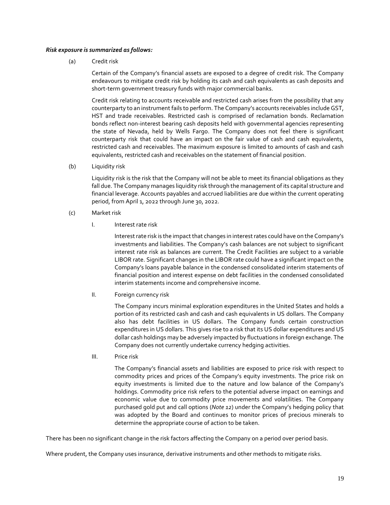#### *Risk exposure is summarized as follows:*

(a) Credit risk

Certain of the Company's financial assets are exposed to a degree of credit risk. The Company endeavours to mitigate credit risk by holding its cash and cash equivalents as cash deposits and short-term government treasury funds with major commercial banks.

Credit risk relating to accounts receivable and restricted cash arises from the possibility that any counterparty to an instrument fails to perform. The Company's accounts receivables include GST, HST and trade receivables. Restricted cash is comprised of reclamation bonds. Reclamation bonds reflect non-interest bearing cash deposits held with governmental agencies representing the state of Nevada, held by Wells Fargo. The Company does not feel there is significant counterparty risk that could have an impact on the fair value of cash and cash equivalents, restricted cash and receivables. The maximum exposure is limited to amounts of cash and cash equivalents, restricted cash and receivables on the statement of financial position.

(b) Liquidity risk

Liquidity risk is the risk that the Company will not be able to meet its financial obligations as they fall due. The Company manages liquidity risk through the management of its capital structure and financial leverage. Accounts payables and accrued liabilities are due within the current operating period, from April 1, 2022 through June 30, 2022.

- (c) Market risk
	- I. Interest rate risk

Interest rate risk is the impact that changes in interest rates could have on the Company's investments and liabilities. The Company's cash balances are not subject to significant interest rate risk as balances are current. The Credit Facilities are subject to a variable LIBOR rate. Significant changes in the LIBOR rate could have a significant impact on the Company's loans payable balance in the condensed consolidated interim statements of financial position and interest expense on debt facilities in the condensed consolidated interim statements income and comprehensive income.

II. Foreign currency risk

The Company incurs minimal exploration expenditures in the United States and holds a portion of its restricted cash and cash and cash equivalents in US dollars. The Company also has debt facilities in US dollars. The Company funds certain construction expenditures in US dollars. This gives rise to a risk that its US dollar expenditures and US dollar cash holdings may be adversely impacted by fluctuations in foreign exchange. The Company does not currently undertake currency hedging activities.

III. Price risk

The Company's financial assets and liabilities are exposed to price risk with respect to commodity prices and prices of the Company's equity investments. The price risk on equity investments is limited due to the nature and low balance of the Company's holdings. Commodity price risk refers to the potential adverse impact on earnings and economic value due to commodity price movements and volatilities. The Company purchased gold put and call options (*Note 12*) under the Company's hedging policy that was adopted by the Board and continues to monitor prices of precious minerals to determine the appropriate course of action to be taken.

There has been no significant change in the risk factors affecting the Company on a period over period basis.

Where prudent, the Company uses insurance, derivative instruments and other methods to mitigate risks.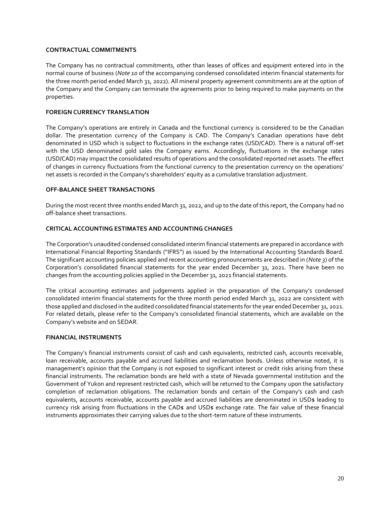#### <span id="page-20-0"></span>**CONTRACTUAL COMMITMENTS**

The Company has no contractual commitments, other than leases of offices and equipment entered into in the normal course of business (*Note 10* of the accompanying condensed consolidated interim financial statements for the three month period ended March 31, 2022). All mineral property agreement commitments are at the option of the Company and the Company can terminate the agreements prior to being required to make payments on the properties.

# <span id="page-20-1"></span>**FOREIGN CURRENCY TRANSLATION**

The Company's operations are entirely in Canada and the functional currency is considered to be the Canadian dollar. The presentation currency of the Company is CAD. The Company's Canadian operations have debt denominated in USD which is subject to fluctuations in the exchange rates (USD/CAD). There is a natural off-set with the USD denominated gold sales the Company earns. Accordingly, fluctuations in the exchange rates (USD/CAD) may impact the consolidated results of operations and the consolidated reported net assets. The effect of changes in currency fluctuations from the functional currency to the presentation currency on the operations' net assets is recorded in the Company's shareholders' equity as a cumulative translation adjustment.

# <span id="page-20-2"></span>**OFF-BALANCE SHEET TRANSACTIONS**

During the most recent three months ended March 31, 2022, and up to the date of this report, the Company had no off-balance sheet transactions.

# <span id="page-20-3"></span>**CRITICAL ACCOUNTING ESTIMATES AND ACCOUNTING CHANGES**

The Corporation's unaudited condensed consolidated interim financial statements are prepared in accordance with International Financial Reporting Standards ("IFRS") as issued by the International Accounting Standards Board. The significant accounting policies applied and recent accounting pronouncements are described in (*Note 3*) of the Corporation's consolidated financial statements for the year ended December 31, 2021. There have been no changes from the accounting policies applied in the December 31, 2021 financial statements.

The critical accounting estimates and judgements applied in the preparation of the Company's condensed consolidated interim financial statements for the three month period ended March 31, 2022 are consistent with those applied and disclosed in the audited consolidated financial statements for the year ended December 31, 2021. For related details, please refer to the Company's consolidated financial statements, which are available on the Company's website and on SEDAR.

# <span id="page-20-4"></span>**FINANCIAL INSTRUMENTS**

The Company's financial instruments consist of cash and cash equivalents, restricted cash, accounts receivable, loan receivable, accounts payable and accrued liabilities and reclamation bonds. Unless otherwise noted, it is management's opinion that the Company is not exposed to significant interest or credit risks arising from these financial instruments. The reclamation bonds are held with a state of Nevada governmental institution and the Government of Yukon and represent restricted cash, which will be returned to the Company upon the satisfactory completion of reclamation obligations. The reclamation bonds and certain of the Company's cash and cash equivalents, accounts receivable, accounts payable and accrued liabilities are denominated in USD\$ leading to currency risk arising from fluctuations in the CAD\$ and USD\$ exchange rate. The fair value of these financial instruments approximates their carrying values due to the short-term nature of these instruments.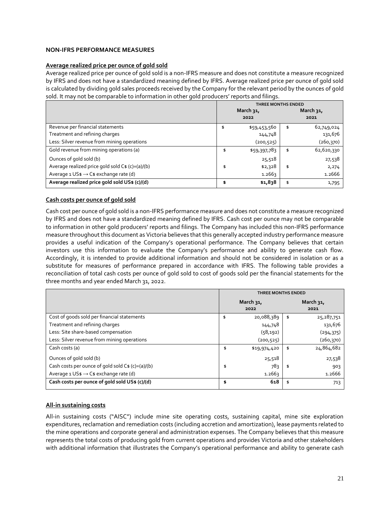# <span id="page-21-0"></span>**NON-IFRS PERFORMANCE MEASURES**

#### **Average realized price per ounce of gold sold**

Average realized price per ounce of gold sold is a non-IFRS measure and does not constitute a measure recognized by IFRS and does not have a standardized meaning defined by IFRS. Average realized price per ounce of gold sold is calculated by dividing gold sales proceeds received by the Company for the relevant period by the ounces of gold sold. It may not be comparable to information in other gold producers' reports and filings.

|                                                           | <b>THREE MONTHS ENDED</b> |              |    |            |  |
|-----------------------------------------------------------|---------------------------|--------------|----|------------|--|
|                                                           |                           | March 31,    |    | March 31,  |  |
|                                                           | 2022                      |              |    | 2021       |  |
| Revenue per financial statements                          | \$                        | \$59,453,560 | \$ | 62,749,024 |  |
| Treatment and refining charges                            |                           | 144,748      |    | 131,676    |  |
| Less: Silver revenue from mining operations               |                           | (200, 525)   |    | (260,370)  |  |
| Gold revenue from mining operations (a)                   | \$                        | \$59,397,783 | \$ | 62,620,330 |  |
| Ounces of gold sold (b)                                   |                           | 25,518       |    | 27,538     |  |
| Average realized price gold sold C\$ (c)=(a)/(b)          | \$                        | \$2,328      | \$ | 2,274      |  |
| Average $1 \cup S$ \$ $\rightarrow$ C\$ exchange rate (d) |                           | 1.2663       |    | 1.2666     |  |
| Average realized price gold sold US\$ (c)/(d)             | \$                        | \$1,838      | \$ | 1,795      |  |

# **Cash costs per ounce of gold sold**

Cash cost per ounce of gold sold is a non-IFRS performance measure and does not constitute a measure recognized by IFRS and does not have a standardized meaning defined by IFRS. Cash cost per ounce may not be comparable to information in other gold producers' reports and filings. The Company has included this non-IFRS performance measure throughout this document as Victoria believes that this generally accepted industry performance measure provides a useful indication of the Company's operational performance. The Company believes that certain investors use this information to evaluate the Company's performance and ability to generate cash flow. Accordingly, it is intended to provide additional information and should not be considered in isolation or as a substitute for measures of performance prepared in accordance with IFRS. The following table provides a reconciliation of total cash costs per ounce of gold sold to cost of goods sold per the financial statements for the three months and year ended March 31, 2022.

|                                                                   | <b>THREE MONTHS ENDED</b> |              |                      |            |
|-------------------------------------------------------------------|---------------------------|--------------|----------------------|------------|
|                                                                   | March 31,<br>2022         |              | March $31$ ,<br>2021 |            |
| Cost of goods sold per financial statements                       | \$                        | 20,088,389   | \$                   | 25,287,751 |
| Treatment and refining charges                                    |                           | 144,748      |                      | 131,676    |
| Less: Site share-based compensation                               |                           | (58, 192)    |                      | (294, 375) |
| Less: Silver revenue from mining operations                       |                           | (200, 525)   |                      | (260, 370) |
| Cash costs (a)                                                    | \$                        | \$19,974,420 | \$                   | 24,864,682 |
| Ounces of gold sold (b)                                           |                           | 25,518       |                      | 27,538     |
| Cash costs per ounce of gold sold $Cs$ (c)=(a)/(b)                | \$                        | 78วุ         | \$                   | 903        |
| Average $1 \text{ US} \$ \rightarrow \text{Cs}$ exchange rate (d) |                           | 1.2663       |                      | 1.2666     |
| Cash costs per ounce of gold sold US\$ (c)/(d)                    | \$                        | 618          | \$                   | 713        |

#### **All-in sustaining costs**

All-in sustaining costs ("AISC") include mine site operating costs, sustaining capital, mine site exploration expenditures, reclamation and remediation costs (including accretion and amortization), lease payments related to the mine operations and corporate general and administration expenses. The Company believes that this measure represents the total costs of producing gold from current operations and provides Victoria and other stakeholders with additional information that illustrates the Company's operational performance and ability to generate cash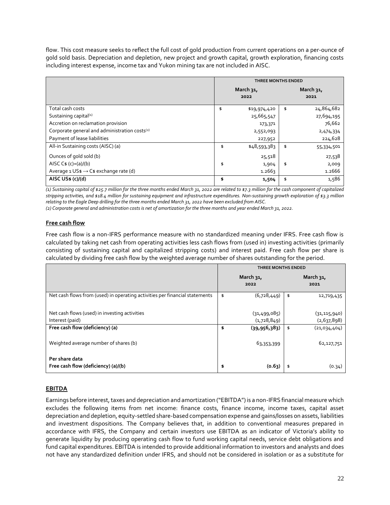flow. This cost measure seeks to reflect the full cost of gold production from current operations on a per-ounce of gold sold basis. Depreciation and depletion, new project and growth capital, growth exploration, financing costs including interest expense, income tax and Yukon mining tax are not included in AISC.

|                                                           | <b>THREE MONTHS ENDED</b> |              |                   |            |
|-----------------------------------------------------------|---------------------------|--------------|-------------------|------------|
|                                                           | March 31,<br>2022         |              | March 31,<br>2021 |            |
| Total cash costs                                          | \$                        | \$19,974,420 | \$                | 24,864,682 |
| Sustaining capital <sup>(1)</sup>                         |                           | 25,665,547   |                   | 27,694,195 |
| Accretion on reclamation provision                        |                           | 173,371      |                   | 76,662     |
| Corporate general and administration costs <sup>(2)</sup> |                           | 2,552,093    |                   | 2,474,334  |
| Payment of lease liabilities                              |                           | 227,952      |                   | 224,628    |
| All-in Sustaining costs (AISC) (a)                        | \$                        | \$48,593,383 | \$                | 55,334,501 |
| Ounces of gold sold (b)                                   |                           | 25,518       |                   | 27,538     |
| AISC $C$ \$ (c)=(a)/(b)                                   | \$                        | 1,904        | \$                | 2,009      |
| Average $1 \cup S$ \$ $\rightarrow$ C\$ exchange rate (d) |                           | 1.2663       |                   | 1.2666     |
| AISC US\$ (c)/(d)                                         | \$                        | 1,504        | \$                | 1,586      |

*(1) Sustaining capital of \$25.7 million for the three months ended March 31, 2022 are related to \$7.3 million for the cash component of capitalized stripping activities, and \$18.4 million for sustaining equipment and infrastructure expenditures. Non-sustaining growth exploration of \$3.3 million relating to the Eagle Deep drilling for the three months ended March 31, 2022 have been excluded from AISC.*

*(2) Corporate general and administration costs is net of amortization for the three months and year ended March 31, 2022.*

# **Free cash flow**

Free cash flow is a non-IFRS performance measure with no standardized meaning under IFRS. Free cash flow is calculated by taking net cash from operating activities less cash flows from (used in) investing activities (primarily consisting of sustaining capital and capitalized stripping costs) and interest paid. Free cash flow per share is calculated by dividing free cash flow by the weighted average number of shares outstanding for the period.

|                                                                             | <b>THREE MONTHS ENDED</b> |                |    |                   |  |
|-----------------------------------------------------------------------------|---------------------------|----------------|----|-------------------|--|
|                                                                             | March 31,<br>2022         |                |    | March 31,<br>2021 |  |
| Net cash flows from (used) in operating activities per financial statements | \$                        | (6,728,449)    | \$ | 12,719,435        |  |
| Net cash flows (used) in investing activities                               |                           | (31, 499, 085) |    | (31, 115, 940)    |  |
| Interest (paid)                                                             |                           | (1,728,849)    |    | (2,637,898)       |  |
| Free cash flow (deficiency) (a)                                             | \$                        | (39, 956, 383) | \$ | (21,034,404)      |  |
| Weighted average number of shares (b)                                       |                           | 63,353,399     |    | 62,127,751        |  |
| Per share data                                                              |                           |                |    |                   |  |
| Free cash flow (deficiency) (a)/(b)                                         | \$                        | (0.63)         |    | (0.34)            |  |

# **EBITDA**

Earnings before interest, taxes and depreciation and amortization ("EBITDA") is a non-IFRS financial measure which excludes the following items from net income: finance costs, finance income, income taxes, capital asset depreciation and depletion, equity-settled share-based compensation expense and gains/losses on assets, liabilities and investment dispositions. The Company believes that, in addition to conventional measures prepared in accordance with IFRS, the Company and certain investors use EBITDA as an indicator of Victoria's ability to generate liquidity by producing operating cash flow to fund working capital needs, service debt obligations and fund capital expenditures. EBITDA is intended to provide additional information to investors and analysts and does not have any standardized definition under IFRS, and should not be considered in isolation or as a substitute for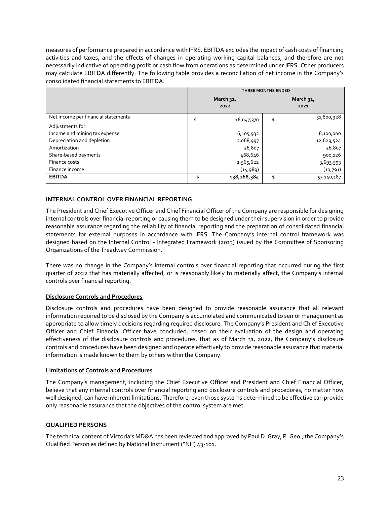measures of performance prepared in accordance with IFRS. EBITDA excludes the impact of cash costs of financing activities and taxes, and the effects of changes in operating working capital balances, and therefore are not necessarily indicative of operating profit or cash flow from operations as determined under IFRS. Other producers may calculate EBITDA differently. The following table provides a reconciliation of net income in the Company's consolidated financial statements to EBITDA.

|                                     | <b>THREE MONTHS ENDED</b> |              |                   |            |
|-------------------------------------|---------------------------|--------------|-------------------|------------|
|                                     | March 31,<br>2022         |              | March 31,<br>2021 |            |
| Net income per financial statements | \$                        | 16,047,370   | \$                | 31,800,928 |
| Adjustments for:                    |                           |              |                   |            |
| Income and mining tax expense       |                           | 6,105,932    |                   | 8,100,000  |
| Depreciation and depletion          |                           | 13,068,997   |                   | 12,629,524 |
| Amortization                        |                           | 26,807       |                   | 26,807     |
| Share-based payments                |                           | 468,646      |                   | 900,126    |
| Finance costs                       |                           | 2,565,622    |                   | 3,693,593  |
| Finance income                      |                           | (14, 989)    |                   | (10,791)   |
| <b>EBITDA</b>                       | \$                        | \$38,268,384 | \$                | 57,140,187 |

# <span id="page-23-0"></span>**INTERNAL CONTROL OVER FINANCIAL REPORTING**

The President and Chief Executive Officer and Chief Financial Officer of the Company are responsible for designing internal controls over financial reporting or causing them to be designed under their supervision in order to provide reasonable assurance regarding the reliability of financial reporting and the preparation of consolidated financial statements for external purposes in accordance with IFRS. The Company's internal control framework was designed based on the Internal Control - Integrated Framework (2013) issued by the Committee of Sponsoring Organizations of the Treadway Commission.

There was no change in the Company's internal controls over financial reporting that occurred during the first quarter of 2022 that has materially affected, or is reasonably likely to materially affect, the Company's internal controls over financial reporting.

# **Disclosure Controls and Procedures**

Disclosure controls and procedures have been designed to provide reasonable assurance that all relevant information required to be disclosed by the Company is accumulated and communicated to senior management as appropriate to allow timely decisions regarding required disclosure. The Company's President and Chief Executive Officer and Chief Financial Officer have concluded, based on their evaluation of the design and operating effectiveness of the disclosure controls and procedures, that as of March 31, 2022, the Company's disclosure controls and procedures have been designed and operate effectively to provide reasonable assurance that material information is made known to them by others within the Company.

# **Limitations of Controls and Procedures**

The Company's management, including the Chief Executive Officer and President and Chief Financial Officer, believe that any internal controls over financial reporting and disclosure controls and procedures, no matter how well designed, can have inherent limitations. Therefore, even those systems determined to be effective can provide only reasonable assurance that the objectives of the control system are met.

# <span id="page-23-1"></span>**QUALIFIED PERSONS**

The technical content of Victoria's MD&A has been reviewed and approved by Paul D. Gray, P. Geo., the Company's Qualified Person as defined by National Instrument ("NI") 43-101.